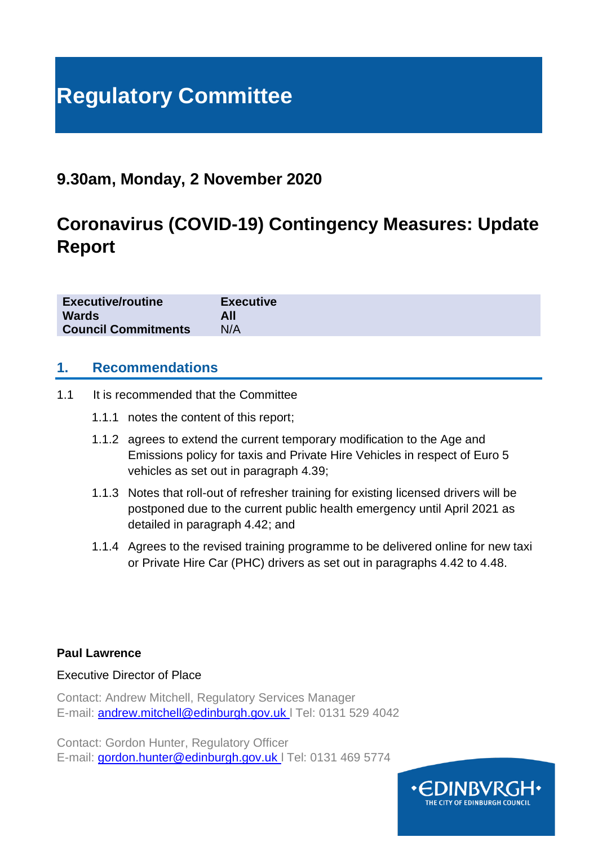# **Regulatory Committee**

## **9.30am, Monday, 2 November 2020**

# **Coronavirus (COVID-19) Contingency Measures: Update Report**

| <b>Executive/routine</b>   | <b>Executive</b> |
|----------------------------|------------------|
| <b>Wards</b>               | All              |
| <b>Council Commitments</b> | N/A              |

#### **1. Recommendations**

- 1.1 It is recommended that the Committee
	- 1.1.1 notes the content of this report;
	- 1.1.2 agrees to extend the current temporary modification to the Age and Emissions policy for taxis and Private Hire Vehicles in respect of Euro 5 vehicles as set out in paragraph 4.39;
	- 1.1.3 Notes that roll-out of refresher training for existing licensed drivers will be postponed due to the current public health emergency until April 2021 as detailed in paragraph 4.42; and
	- 1.1.4 Agrees to the revised training programme to be delivered online for new taxi or Private Hire Car (PHC) drivers as set out in paragraphs 4.42 to 4.48.

#### **Paul Lawrence**

#### Executive Director of Place

Contact: Andrew Mitchell, Regulatory Services Manager E-mail: **andrew.mitchell@edinburgh.gov.uk** | Tel: 0131 529 4042

Contact: Gordon Hunter, Regulatory Officer E-mail: [gordon.hunter@edinburgh.gov.uk](mailto:gordon.hunter@edinburgh.gov.uk) l Tel: 0131 469 5774

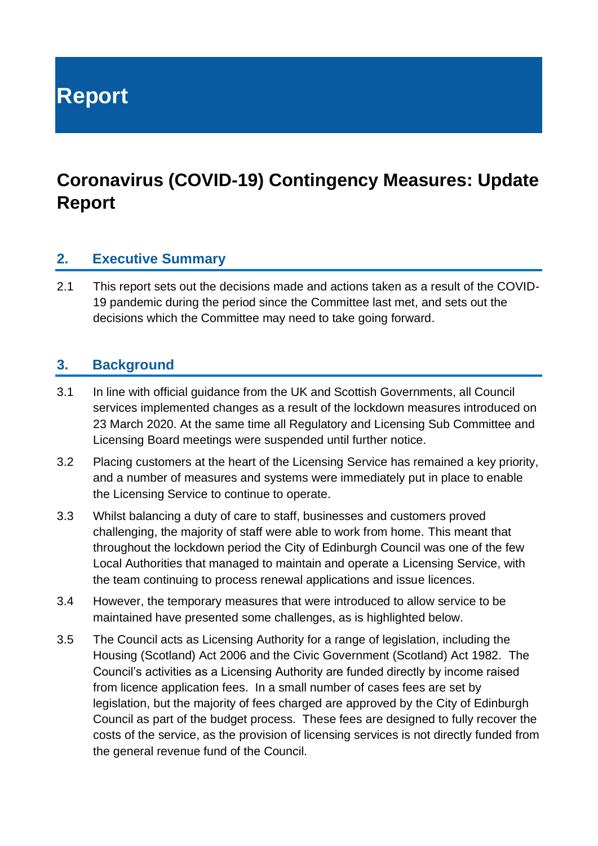**Report**

# **Coronavirus (COVID-19) Contingency Measures: Update Report**

#### **2. Executive Summary**

2.1 This report sets out the decisions made and actions taken as a result of the COVID-19 pandemic during the period since the Committee last met, and sets out the decisions which the Committee may need to take going forward.

#### **3. Background**

- 3.1 In line with official guidance from the UK and Scottish Governments, all Council services implemented changes as a result of the lockdown measures introduced on 23 March 2020. At the same time all Regulatory and Licensing Sub Committee and Licensing Board meetings were suspended until further notice.
- 3.2 Placing customers at the heart of the Licensing Service has remained a key priority, and a number of measures and systems were immediately put in place to enable the Licensing Service to continue to operate.
- 3.3 Whilst balancing a duty of care to staff, businesses and customers proved challenging, the majority of staff were able to work from home. This meant that throughout the lockdown period the City of Edinburgh Council was one of the few Local Authorities that managed to maintain and operate a Licensing Service, with the team continuing to process renewal applications and issue licences.
- 3.4 However, the temporary measures that were introduced to allow service to be maintained have presented some challenges, as is highlighted below.
- 3.5 The Council acts as Licensing Authority for a range of legislation, including the Housing (Scotland) Act 2006 and the Civic Government (Scotland) Act 1982. The Council's activities as a Licensing Authority are funded directly by income raised from licence application fees. In a small number of cases fees are set by legislation, but the majority of fees charged are approved by the City of Edinburgh Council as part of the budget process. These fees are designed to fully recover the costs of the service, as the provision of licensing services is not directly funded from the general revenue fund of the Council.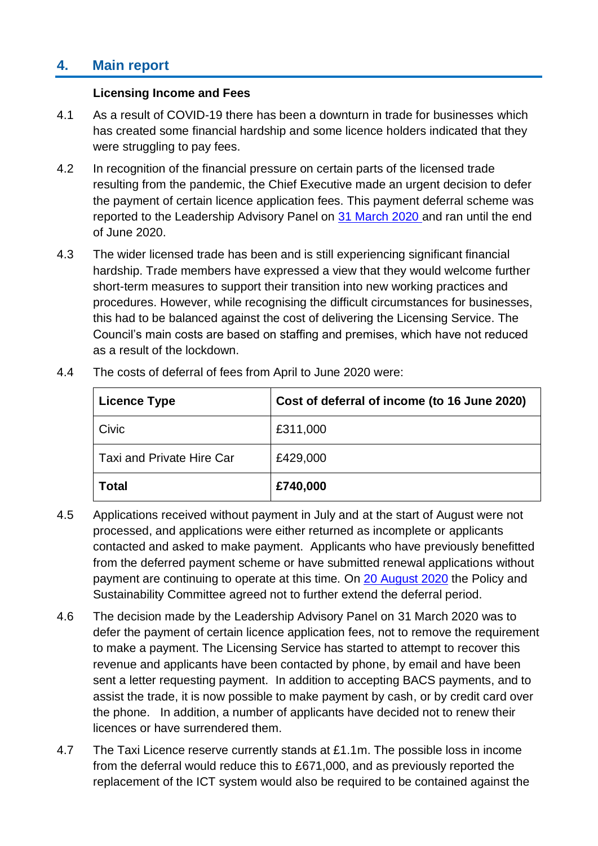### **4. Main report**

#### **Licensing Income and Fees**

- 4.1 As a result of COVID-19 there has been a downturn in trade for businesses which has created some financial hardship and some licence holders indicated that they were struggling to pay fees.
- 4.2 In recognition of the financial pressure on certain parts of the licensed trade resulting from the pandemic, the Chief Executive made an urgent decision to defer the payment of certain licence application fees. This payment deferral scheme was reported to the Leadership Advisory Panel on [31 March 2020](https://democracy.edinburgh.gov.uk/ieListDocuments.aspx?CId=162&MId=5491&Ver=4) and ran until the end of June 2020.
- 4.3 The wider licensed trade has been and is still experiencing significant financial hardship. Trade members have expressed a view that they would welcome further short-term measures to support their transition into new working practices and procedures. However, while recognising the difficult circumstances for businesses, this had to be balanced against the cost of delivering the Licensing Service. The Council's main costs are based on staffing and premises, which have not reduced as a result of the lockdown.

| <b>Licence Type</b>       | Cost of deferral of income (to 16 June 2020) |  |  |
|---------------------------|----------------------------------------------|--|--|
| Civic                     | £311,000                                     |  |  |
| Taxi and Private Hire Car | £429,000                                     |  |  |
| <b>Total</b>              | £740,000                                     |  |  |

4.4 The costs of deferral of fees from April to June 2020 were:

- 4.5 Applications received without payment in July and at the start of August were not processed, and applications were either returned as incomplete or applicants contacted and asked to make payment. Applicants who have previously benefitted from the deferred payment scheme or have submitted renewal applications without payment are continuing to operate at this time. On [20 August 2020](https://democracy.edinburgh.gov.uk/documents/s25365/Item%206.12%20-%20Coronavirus%20COVID-19%20Deferred%20payments%20FINAL.pdf) the Policy and Sustainability Committee agreed not to further extend the deferral period.
- 4.6 The decision made by the Leadership Advisory Panel on 31 March 2020 was to defer the payment of certain licence application fees, not to remove the requirement to make a payment. The Licensing Service has started to attempt to recover this revenue and applicants have been contacted by phone, by email and have been sent a letter requesting payment. In addition to accepting BACS payments, and to assist the trade, it is now possible to make payment by cash, or by credit card over the phone. In addition, a number of applicants have decided not to renew their licences or have surrendered them.
- 4.7 The Taxi Licence reserve currently stands at £1.1m. The possible loss in income from the deferral would reduce this to £671,000, and as previously reported the replacement of the ICT system would also be required to be contained against the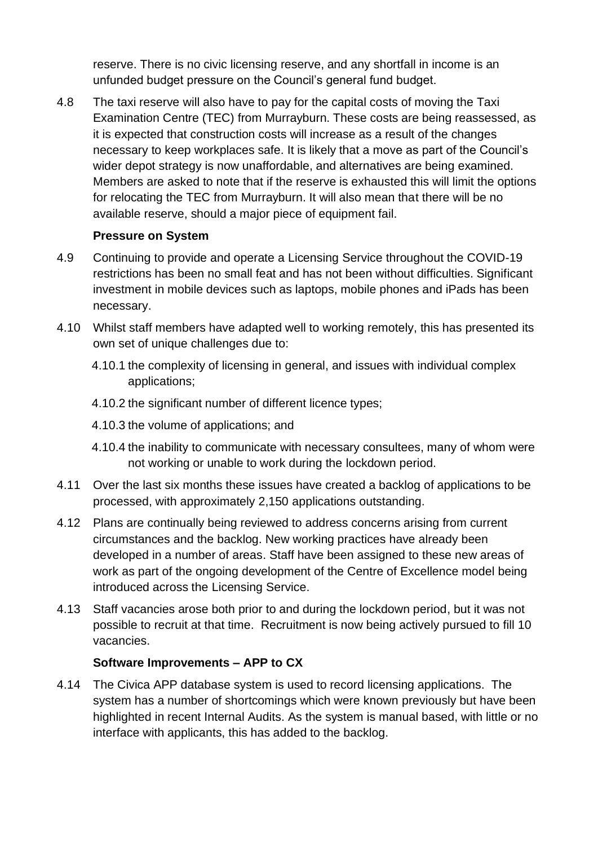reserve. There is no civic licensing reserve, and any shortfall in income is an unfunded budget pressure on the Council's general fund budget.

4.8 The taxi reserve will also have to pay for the capital costs of moving the Taxi Examination Centre (TEC) from Murrayburn. These costs are being reassessed, as it is expected that construction costs will increase as a result of the changes necessary to keep workplaces safe. It is likely that a move as part of the Council's wider depot strategy is now unaffordable, and alternatives are being examined. Members are asked to note that if the reserve is exhausted this will limit the options for relocating the TEC from Murrayburn. It will also mean that there will be no available reserve, should a major piece of equipment fail.

#### **Pressure on System**

- 4.9 Continuing to provide and operate a Licensing Service throughout the COVID-19 restrictions has been no small feat and has not been without difficulties. Significant investment in mobile devices such as laptops, mobile phones and iPads has been necessary.
- 4.10 Whilst staff members have adapted well to working remotely, this has presented its own set of unique challenges due to:
	- 4.10.1 the complexity of licensing in general, and issues with individual complex applications;
	- 4.10.2 the significant number of different licence types;
	- 4.10.3 the volume of applications; and
	- 4.10.4 the inability to communicate with necessary consultees, many of whom were not working or unable to work during the lockdown period.
- 4.11 Over the last six months these issues have created a backlog of applications to be processed, with approximately 2,150 applications outstanding.
- 4.12 Plans are continually being reviewed to address concerns arising from current circumstances and the backlog. New working practices have already been developed in a number of areas. Staff have been assigned to these new areas of work as part of the ongoing development of the Centre of Excellence model being introduced across the Licensing Service.
- 4.13 Staff vacancies arose both prior to and during the lockdown period, but it was not possible to recruit at that time. Recruitment is now being actively pursued to fill 10 vacancies.

#### **Software Improvements – APP to CX**

4.14 The Civica APP database system is used to record licensing applications. The system has a number of shortcomings which were known previously but have been highlighted in recent Internal Audits. As the system is manual based, with little or no interface with applicants, this has added to the backlog.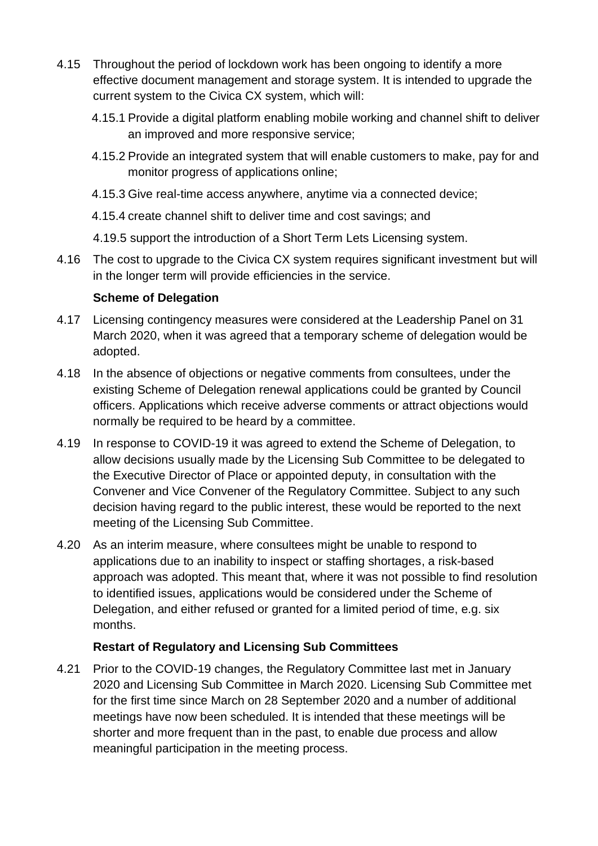- 4.15 Throughout the period of lockdown work has been ongoing to identify a more effective document management and storage system. It is intended to upgrade the current system to the Civica CX system, which will:
	- 4.15.1 Provide a digital platform enabling mobile working and channel shift to deliver an improved and more responsive service;
	- 4.15.2 Provide an integrated system that will enable customers to make, pay for and monitor progress of applications online;
	- 4.15.3 Give real-time access anywhere, anytime via a connected device;
	- 4.15.4 create channel shift to deliver time and cost savings; and
	- 4.19.5 support the introduction of a Short Term Lets Licensing system.
- 4.16 The cost to upgrade to the Civica CX system requires significant investment but will in the longer term will provide efficiencies in the service.

#### **Scheme of Delegation**

- 4.17 Licensing contingency measures were considered at the Leadership Panel on 31 March 2020, when it was agreed that a temporary scheme of delegation would be adopted.
- 4.18 In the absence of objections or negative comments from consultees, under the existing Scheme of Delegation renewal applications could be granted by Council officers. Applications which receive adverse comments or attract objections would normally be required to be heard by a committee.
- 4.19 In response to COVID-19 it was agreed to extend the Scheme of Delegation, to allow decisions usually made by the Licensing Sub Committee to be delegated to the Executive Director of Place or appointed deputy, in consultation with the Convener and Vice Convener of the Regulatory Committee. Subject to any such decision having regard to the public interest, these would be reported to the next meeting of the Licensing Sub Committee.
- 4.20 As an interim measure, where consultees might be unable to respond to applications due to an inability to inspect or staffing shortages, a risk-based approach was adopted. This meant that, where it was not possible to find resolution to identified issues, applications would be considered under the Scheme of Delegation, and either refused or granted for a limited period of time, e.g. six months.

#### **Restart of Regulatory and Licensing Sub Committees**

4.21 Prior to the COVID-19 changes, the Regulatory Committee last met in January 2020 and Licensing Sub Committee in March 2020. Licensing Sub Committee met for the first time since March on 28 September 2020 and a number of additional meetings have now been scheduled. It is intended that these meetings will be shorter and more frequent than in the past, to enable due process and allow meaningful participation in the meeting process.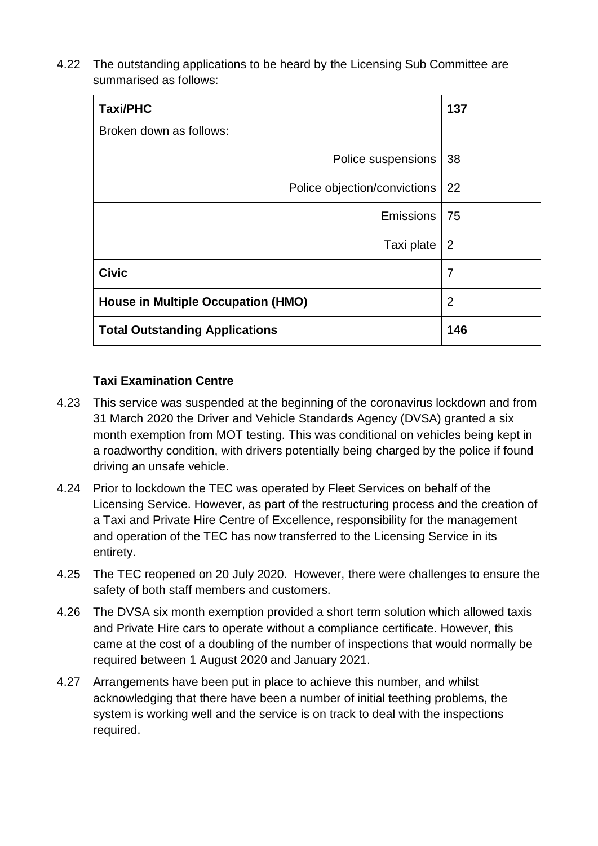4.22 The outstanding applications to be heard by the Licensing Sub Committee are summarised as follows:

| <b>Taxi/PHC</b>                       | 137            |
|---------------------------------------|----------------|
| Broken down as follows:               |                |
| Police suspensions                    | 38             |
| Police objection/convictions          | 22             |
| <b>Emissions</b>                      | -75            |
| Taxi plate                            | 2              |
| <b>Civic</b>                          | $\overline{7}$ |
| House in Multiple Occupation (HMO)    | $\overline{2}$ |
| <b>Total Outstanding Applications</b> | 146            |

#### **Taxi Examination Centre**

- 4.23 This service was suspended at the beginning of the coronavirus lockdown and from 31 March 2020 the Driver and Vehicle Standards Agency (DVSA) granted a six month exemption from MOT testing. This was conditional on vehicles being kept in a roadworthy condition, with drivers potentially being charged by the police if found driving an unsafe vehicle.
- 4.24 Prior to lockdown the TEC was operated by Fleet Services on behalf of the Licensing Service. However, as part of the restructuring process and the creation of a Taxi and Private Hire Centre of Excellence, responsibility for the management and operation of the TEC has now transferred to the Licensing Service in its entirety.
- 4.25 The TEC reopened on 20 July 2020. However, there were challenges to ensure the safety of both staff members and customers.
- 4.26 The DVSA six month exemption provided a short term solution which allowed taxis and Private Hire cars to operate without a compliance certificate. However, this came at the cost of a doubling of the number of inspections that would normally be required between 1 August 2020 and January 2021.
- 4.27 Arrangements have been put in place to achieve this number, and whilst acknowledging that there have been a number of initial teething problems, the system is working well and the service is on track to deal with the inspections required.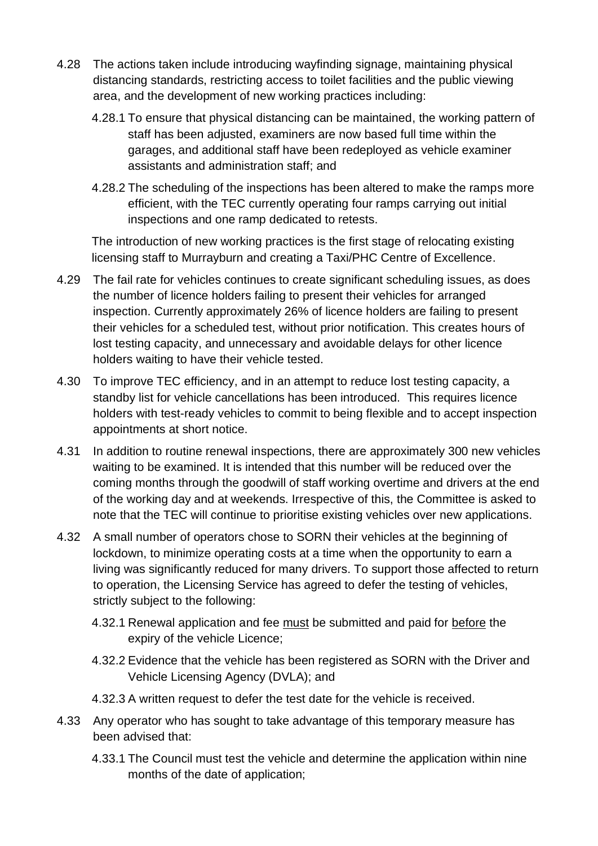- 4.28 The actions taken include introducing wayfinding signage, maintaining physical distancing standards, restricting access to toilet facilities and the public viewing area, and the development of new working practices including:
	- 4.28.1 To ensure that physical distancing can be maintained, the working pattern of staff has been adjusted, examiners are now based full time within the garages, and additional staff have been redeployed as vehicle examiner assistants and administration staff; and
	- 4.28.2 The scheduling of the inspections has been altered to make the ramps more efficient, with the TEC currently operating four ramps carrying out initial inspections and one ramp dedicated to retests.

The introduction of new working practices is the first stage of relocating existing licensing staff to Murrayburn and creating a Taxi/PHC Centre of Excellence.

- 4.29 The fail rate for vehicles continues to create significant scheduling issues, as does the number of licence holders failing to present their vehicles for arranged inspection. Currently approximately 26% of licence holders are failing to present their vehicles for a scheduled test, without prior notification. This creates hours of lost testing capacity, and unnecessary and avoidable delays for other licence holders waiting to have their vehicle tested.
- 4.30 To improve TEC efficiency, and in an attempt to reduce lost testing capacity, a standby list for vehicle cancellations has been introduced. This requires licence holders with test-ready vehicles to commit to being flexible and to accept inspection appointments at short notice.
- 4.31 In addition to routine renewal inspections, there are approximately 300 new vehicles waiting to be examined. It is intended that this number will be reduced over the coming months through the goodwill of staff working overtime and drivers at the end of the working day and at weekends. Irrespective of this, the Committee is asked to note that the TEC will continue to prioritise existing vehicles over new applications.
- 4.32 A small number of operators chose to SORN their vehicles at the beginning of lockdown, to minimize operating costs at a time when the opportunity to earn a living was significantly reduced for many drivers. To support those affected to return to operation, the Licensing Service has agreed to defer the testing of vehicles, strictly subject to the following:
	- 4.32.1 Renewal application and fee must be submitted and paid for before the expiry of the vehicle Licence;
	- 4.32.2 Evidence that the vehicle has been registered as SORN with the Driver and Vehicle Licensing Agency (DVLA); and
	- 4.32.3 A written request to defer the test date for the vehicle is received.
- 4.33 Any operator who has sought to take advantage of this temporary measure has been advised that:
	- 4.33.1 The Council must test the vehicle and determine the application within nine months of the date of application;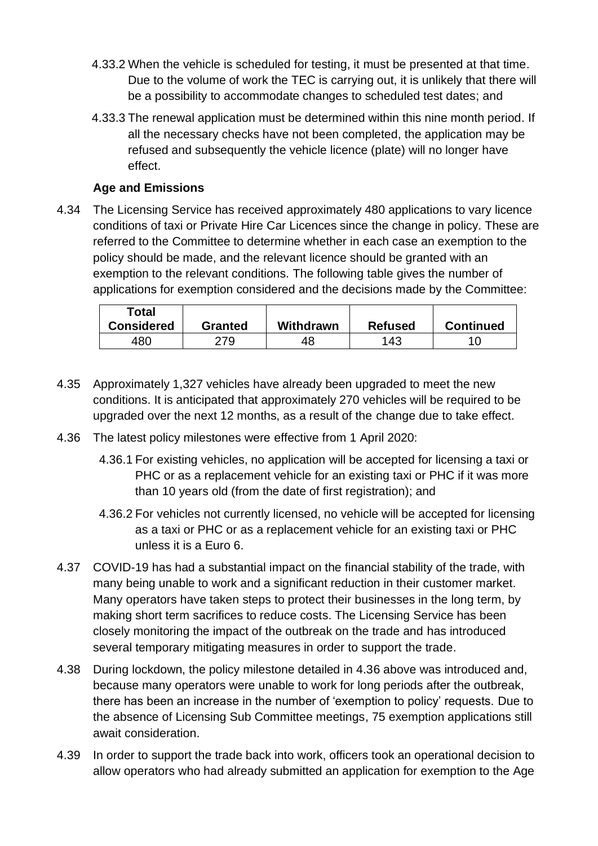- 4.33.2 When the vehicle is scheduled for testing, it must be presented at that time. Due to the volume of work the TEC is carrying out, it is unlikely that there will be a possibility to accommodate changes to scheduled test dates; and
- 4.33.3 The renewal application must be determined within this nine month period. If all the necessary checks have not been completed, the application may be refused and subsequently the vehicle licence (plate) will no longer have effect.

#### **Age and Emissions**

4.34 The Licensing Service has received approximately 480 applications to vary licence conditions of taxi or Private Hire Car Licences since the change in policy. These are referred to the Committee to determine whether in each case an exemption to the policy should be made, and the relevant licence should be granted with an exemption to the relevant conditions. The following table gives the number of applications for exemption considered and the decisions made by the Committee:

| Total<br><b>Considered</b> | <b>Granted</b> | Withdrawn | <b>Refused</b> | <b>Continued</b> |
|----------------------------|----------------|-----------|----------------|------------------|
| 480                        | 279            | 48        | 143            |                  |

- 4.35 Approximately 1,327 vehicles have already been upgraded to meet the new conditions. It is anticipated that approximately 270 vehicles will be required to be upgraded over the next 12 months, as a result of the change due to take effect.
- 4.36 The latest policy milestones were effective from 1 April 2020:
	- 4.36.1 For existing vehicles, no application will be accepted for licensing a taxi or PHC or as a replacement vehicle for an existing taxi or PHC if it was more than 10 years old (from the date of first registration); and
	- 4.36.2 For vehicles not currently licensed, no vehicle will be accepted for licensing as a taxi or PHC or as a replacement vehicle for an existing taxi or PHC unless it is a Euro 6.
- 4.37 COVID-19 has had a substantial impact on the financial stability of the trade, with many being unable to work and a significant reduction in their customer market. Many operators have taken steps to protect their businesses in the long term, by making short term sacrifices to reduce costs. The Licensing Service has been closely monitoring the impact of the outbreak on the trade and has introduced several temporary mitigating measures in order to support the trade.
- 4.38 During lockdown, the policy milestone detailed in 4.36 above was introduced and, because many operators were unable to work for long periods after the outbreak, there has been an increase in the number of 'exemption to policy' requests. Due to the absence of Licensing Sub Committee meetings, 75 exemption applications still await consideration.
- 4.39 In order to support the trade back into work, officers took an operational decision to allow operators who had already submitted an application for exemption to the Age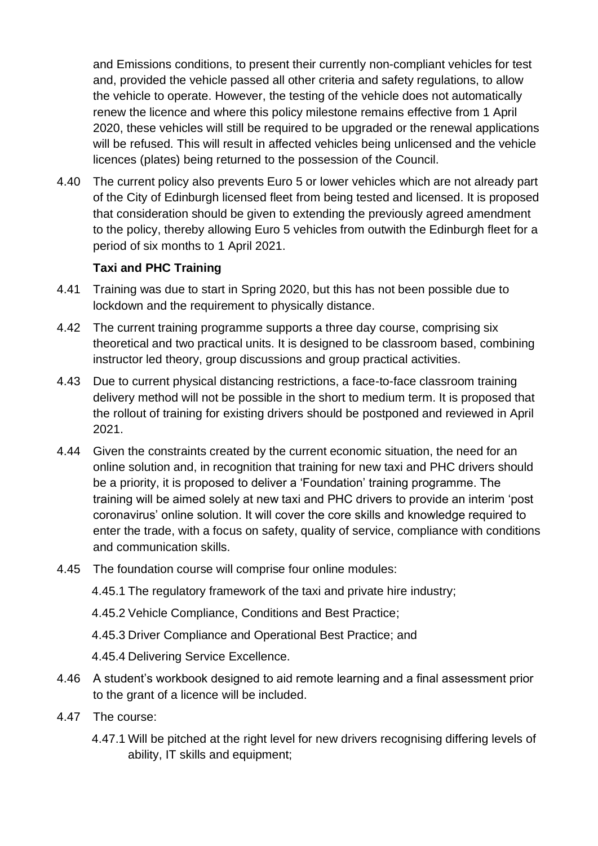and Emissions conditions, to present their currently non-compliant vehicles for test and, provided the vehicle passed all other criteria and safety regulations, to allow the vehicle to operate. However, the testing of the vehicle does not automatically renew the licence and where this policy milestone remains effective from 1 April 2020, these vehicles will still be required to be upgraded or the renewal applications will be refused. This will result in affected vehicles being unlicensed and the vehicle licences (plates) being returned to the possession of the Council.

4.40 The current policy also prevents Euro 5 or lower vehicles which are not already part of the City of Edinburgh licensed fleet from being tested and licensed. It is proposed that consideration should be given to extending the previously agreed amendment to the policy, thereby allowing Euro 5 vehicles from outwith the Edinburgh fleet for a period of six months to 1 April 2021.

#### **Taxi and PHC Training**

- 4.41 Training was due to start in Spring 2020, but this has not been possible due to lockdown and the requirement to physically distance.
- 4.42 The current training programme supports a three day course, comprising six theoretical and two practical units. It is designed to be classroom based, combining instructor led theory, group discussions and group practical activities.
- 4.43 Due to current physical distancing restrictions, a face-to-face classroom training delivery method will not be possible in the short to medium term. It is proposed that the rollout of training for existing drivers should be postponed and reviewed in April 2021.
- 4.44 Given the constraints created by the current economic situation, the need for an online solution and, in recognition that training for new taxi and PHC drivers should be a priority, it is proposed to deliver a 'Foundation' training programme. The training will be aimed solely at new taxi and PHC drivers to provide an interim 'post coronavirus' online solution. It will cover the core skills and knowledge required to enter the trade, with a focus on safety, quality of service, compliance with conditions and communication skills.
- 4.45 The foundation course will comprise four online modules:

4.45.1 The regulatory framework of the taxi and private hire industry;

4.45.2 Vehicle Compliance, Conditions and Best Practice;

- 4.45.3 Driver Compliance and Operational Best Practice; and
- 4.45.4 Delivering Service Excellence.
- 4.46 A student's workbook designed to aid remote learning and a final assessment prior to the grant of a licence will be included.
- 4.47 The course:
	- 4.47.1 Will be pitched at the right level for new drivers recognising differing levels of ability, IT skills and equipment;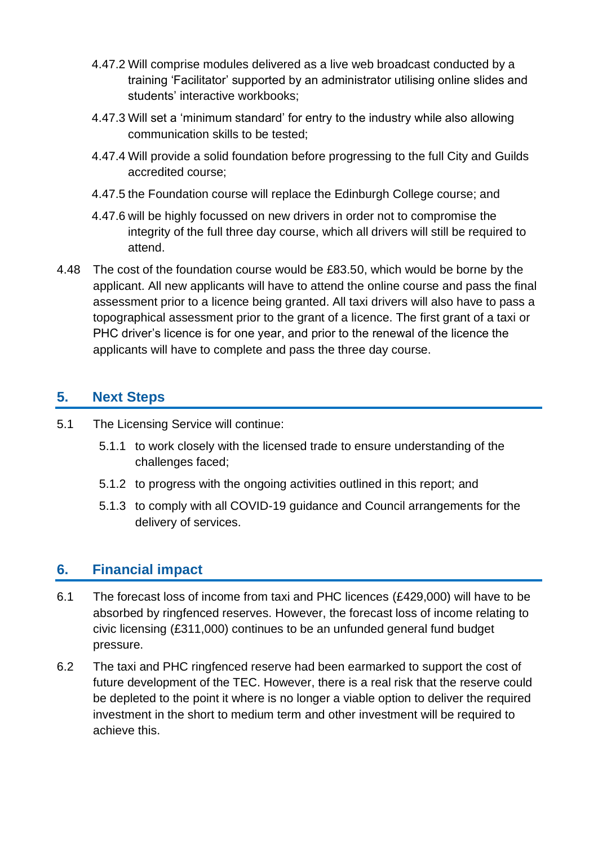- 4.47.2 Will comprise modules delivered as a live web broadcast conducted by a training 'Facilitator' supported by an administrator utilising online slides and students' interactive workbooks;
- 4.47.3 Will set a 'minimum standard' for entry to the industry while also allowing communication skills to be tested;
- 4.47.4 Will provide a solid foundation before progressing to the full City and Guilds accredited course;
- 4.47.5 the Foundation course will replace the Edinburgh College course; and
- 4.47.6 will be highly focussed on new drivers in order not to compromise the integrity of the full three day course, which all drivers will still be required to attend.
- 4.48 The cost of the foundation course would be £83.50, which would be borne by the applicant. All new applicants will have to attend the online course and pass the final assessment prior to a licence being granted. All taxi drivers will also have to pass a topographical assessment prior to the grant of a licence. The first grant of a taxi or PHC driver's licence is for one year, and prior to the renewal of the licence the applicants will have to complete and pass the three day course.

#### **5. Next Steps**

- 5.1 The Licensing Service will continue:
	- 5.1.1 to work closely with the licensed trade to ensure understanding of the challenges faced;
	- 5.1.2 to progress with the ongoing activities outlined in this report; and
	- 5.1.3 to comply with all COVID-19 guidance and Council arrangements for the delivery of services.

#### **6. Financial impact**

- 6.1 The forecast loss of income from taxi and PHC licences (£429,000) will have to be absorbed by ringfenced reserves. However, the forecast loss of income relating to civic licensing (£311,000) continues to be an unfunded general fund budget pressure.
- 6.2 The taxi and PHC ringfenced reserve had been earmarked to support the cost of future development of the TEC. However, there is a real risk that the reserve could be depleted to the point it where is no longer a viable option to deliver the required investment in the short to medium term and other investment will be required to achieve this.